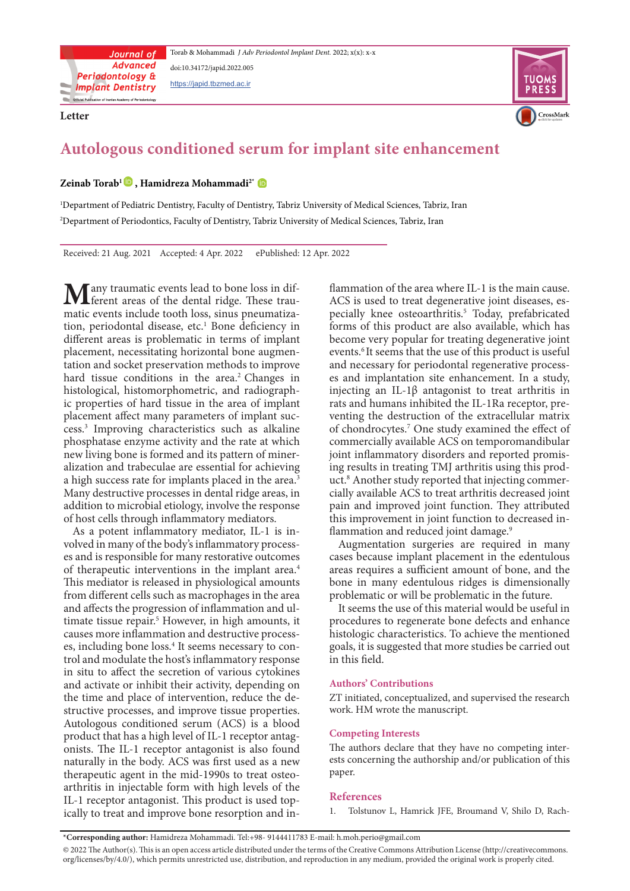**Letter**





# Autologous conditioned serum for implant site enhancement

## $\text{Zeinab Torab}^1$  **D**, Hamidreza Mohammadi<sup>2\*</sup> **D**

'Department of Pediatric Dentistry, Faculty of Dentistry, Tabriz University of Medical Sciences, Tabriz, Iran <sup>2</sup>Department of Periodontics, Faculty of Dentistry, Tabriz University of Medical Sciences, Tabriz, Iran

Received: 21 Aug. 2021 Accepted: 4 Apr. 2022 ePublished: 12 Apr. 2022

matic events include tooth loss, sinus pneumatization, periodontal disease, etc.<sup>1</sup> Bone deficiency in **TVL** ferent areas of the dental ridge. These traumatic events include tooth loss, sinus pneumatiza-**M** any traumatic events lead to bone loss in dif-<br>must in must in loss both the dental ridge. These traumatic different areas is problematic in terms of implant placement, necessitating horizontal bone augmen-<br>tation and socket preservation methods to improve hard tissue conditions in the area.<sup>2</sup> Changes in ic properties of hard tissue in the area of implant histological, histomorphometric, and radiographplacement affect many parameters of implant suc-<br>cess.<sup>3</sup> Improving characteristics such as alkaline cess.<sup>3</sup> Improving characteristics such as alkaline phosphatase enzyme activity and the rate at which alization and trabeculae are essential for achieving new living bone is formed and its pattern of minera high success rate for implants placed in the area.<sup>3</sup> Many destructive processes in dental ridge areas, in addition to microbial etiology, involve the response of host cells through inflammatory mediators.

volved in many of the body's inflammatory process-<br>es and is responsible for many restorative outcomes As a potent inflammatory mediator, IL-1 is involved in many of the body's inflammatory process-As a potent inflammatory mediator, IL-1 is inof therapeutic interventions in the implant area.<sup>4</sup> This mediator is released in physiological amounts from different cells such as macrophages in the area and affects the progression of inflammation and ul-<br>timate tissue repair.<sup>5</sup> However, in high amounts, it and affects the progression of inflammation and ulcauses more inflammation and destructive process-<br>es, including bone loss.<sup>4</sup> It seems necessary to concauses more inflammation and destructive processtrol and modulate the host's inflammatory response in situ to affect the secretion of various cytokines and activate or inhibit their activity, depending on structive processes, and improve tissue properties. the time and place of intervention, reduce the de-Autologous conditioned serum (ACS) is a blood onists. The IL-1 receptor antagonist is also found product that has a high level of IL-1 receptor antagnaturally in the body. ACS was first used as a new arthritis in injectable form with high levels of the therapeutic agent in the mid-1990s to treat osteo-IL-1 receptor antagonist. This product is used top-<br>ically to treat and improve bone resorption and in-

<sup>2</sup><br>
- flammation of the area where III-1 is the main cause.<br>
ACS is used to treat degenerative joint diseases, expecially knee osteoarthritis.<sup>5</sup> Today, prefabricated forms of this product are also available, which has ev ACS is used to treat degenerative joint diseases, especially knee osteoarthritis.<sup>5</sup> Today, prefabricated ACS is used to treat degenerative joint diseases, esforms of this product are also available, which has become very popular for treating degenerative joint events.<sup>6</sup> It seems that the use of this product is useful es and implantation site enhancement. In a study, and necessary for periodontal regenerative processinjecting an IL-1 $\beta$  antagonist to treat arthritis in venting the destruction of the extracellular matrix rats and humans inhibited the IL-1Ra receptor, preof chondrocytes.<sup>7</sup> One study examined the effect of commercially available ACS on temporomandibular cially available ACS to treat arthritis decreased joint uct.<sup>8</sup> Another study reported that injecting commering results in treating TMJ arthritis using this prodjoint inflammatory disorders and reported promispain and improved joint function. They attributed this improvement in joint function to decreased in-<br>flammation and reduced joint damage.<sup>9</sup>

Augmentation surgeries are required in many cases because implant placement in the edentulous areas requires a sufficient amount of bone, and the bone in many edentulous ridges is dimensionally problematic or will be problematic in the future.

It seems the use of this material would be useful in procedures to regenerate bone defects and enhance histologic characteristics. To achieve the mentioned goals, it is suggested that more studies be carried out in this field.

### **Contributions' Authors**

ZT initiated, conceptualized, and supervised the research work. HM wrote the manuscript.

### **Competing Interests**

ests concerning the authorship and/or publication of this The authors declare that they have no competing interpaper.

### **References**

1. Tolstunov L, Hamrick JFE, Broumand V, Shilo D, Rach-

\*Corresponding author: Hamidreza Mohammadi. Tel:+98-9144411783 E-mail: h.moh.perio@gmail.com

@ 2022 The Author(s). This is an open access article distributed under the terms of the Creative Commons Attribution License (http://creativecommons. org/licenses/by/4.0/), which permits unrestricted use, distribution, and reproduction in any medium, provided the original work is properly cited.